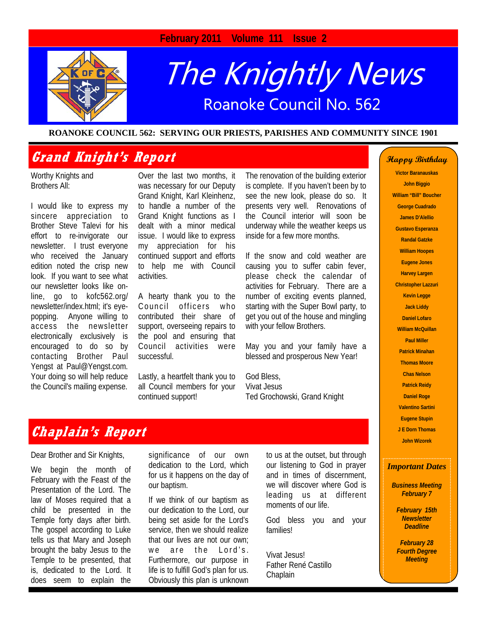## **February 2011 Volume 111 Issue 2**



# The Knightly News Roanoke Council No. 562

#### **ROANOKE COUNCIL 562: SERVING OUR PRIESTS, PARISHES AND COMMUNITY SINCE 1901**

## **Grand Knight's Report**

Worthy Knights and Brothers All:

I would like to express my sincere appreciation to Brother Steve Talevi for his effort to re-invigorate our newsletter. I trust everyone who received the January edition noted the crisp new look. If you want to see what our newsletter looks like online, go to kofc562.org/ newsletter/index.html; it's eyepopping. Anyone willing to access the newsletter electronically exclusively is encouraged to do so by contacting Brother Paul Yengst at Paul@Yengst.com. Your doing so will help reduce the Council's mailing expense.

Over the last two months, it was necessary for our Deputy Grand Knight, Karl Kleinhenz, to handle a number of the Grand Knight functions as I dealt with a minor medical issue. I would like to express my appreciation for his continued support and efforts to help me with Council activities.

A hearty thank you to the Council officers who contributed their share of support, overseeing repairs to the pool and ensuring that Council activities were successful.

Lastly, a heartfelt thank you to all Council members for your continued support!

The renovation of the building exterior is complete. If you haven't been by to see the new look, please do so. It presents very well. Renovations of the Council interior will soon be underway while the weather keeps us inside for a few more months.

If the snow and cold weather are causing you to suffer cabin fever, please check the calendar of activities for February. There are a number of exciting events planned, starting with the Super Bowl party, to get you out of the house and mingling with your fellow Brothers.

May you and your family have a blessed and prosperous New Year!

God Bless, Vivat Jesus Ted Grochowski, Grand Knight

#### **Happy Birthday**

**Victor Baranauskas John Biggio William "Bill" Boucher George Cuadrado James D'Alellio Gustavo Esperanza Randal Gatzke William Hoopes Eugene Jones Harvey Largen Christopher Lazzuri Kevin Legge Jack Liddy Daniel Lofaro William McQuillan Paul Miller Patrick Minahan Thomas Moore Chas Nelson Patrick Reidy Daniel Roge Valentino Sartini Eugene Stupin J E Dorn Thomas John Wizorek** 

#### *Important Dates*

*Business Meeting February 7* 

> *February 15th Newsletter Deadline*

*February 28 Fourth Degree Meeting* 

## **Chaplain's Report**

Dear Brother and Sir Knights,

We begin the month of February with the Feast of the Presentation of the Lord. The law of Moses required that a child be presented in the Temple forty days after birth. The gospel according to Luke tells us that Mary and Joseph brought the baby Jesus to the Temple to be presented, that is, dedicated to the Lord. It does seem to explain the

significance of our own dedication to the Lord, which for us it happens on the day of our baptism.

If we think of our baptism as our dedication to the Lord, our being set aside for the Lord's service, then we should realize that our lives are not our own; we are the Lord's. Furthermore, our purpose in life is to fulfill God's plan for us. Obviously this plan is unknown

to us at the outset, but through our listening to God in prayer and in times of discernment, we will discover where God is leading us at different moments of our life.

God bless you and your families!

Vivat Jesus! Father René Castillo Chaplain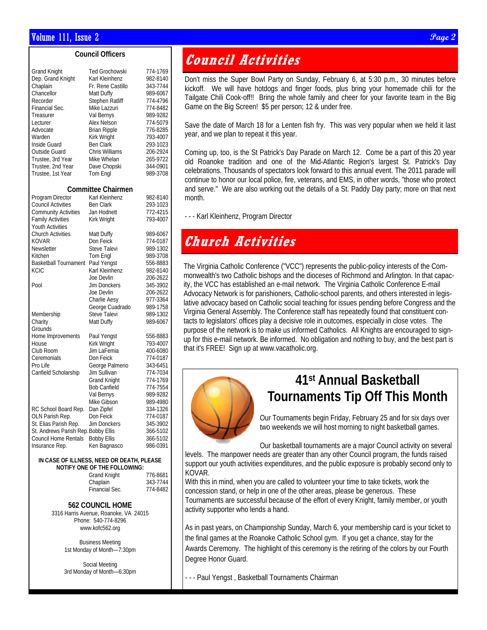#### **Council Officers**

| Grand Knight                        | Ted Grochowski            | 774-1769 |  |  |  |
|-------------------------------------|---------------------------|----------|--|--|--|
| Dep. Grand Knight                   | Karl Kleinhenz            | 982-8140 |  |  |  |
| Chaplain                            | Fr. Rene Castillo         | 343-7744 |  |  |  |
| Chancellor                          | Matt Duffy                | 989-6067 |  |  |  |
| Recorder                            | Stephen Ratliff           | 774-4796 |  |  |  |
|                                     |                           |          |  |  |  |
| Financial Sec.                      | Mike Lazzuri              | 774-8482 |  |  |  |
| Treasurer                           | Val Bernys                | 989-9282 |  |  |  |
| Lecturer                            | <b>Alex Nelson</b>        | 774-5079 |  |  |  |
| Advocate                            | <b>Brian Ripple</b>       | 776-8285 |  |  |  |
| Warden                              | Kirk Wright               | 793-4007 |  |  |  |
| Inside Guard                        | <b>Ben Clark</b>          | 293-1023 |  |  |  |
| Outside Guard                       | <b>Chris Williams</b>     | 206-2924 |  |  |  |
| Trustee, 3rd Year                   | Mike Whelan               | 265-9722 |  |  |  |
| Trustee, 2nd Year                   | Dave Chopski              | 344-0901 |  |  |  |
| Trustee, 1st Year                   | Tom Engl                  | 989-3708 |  |  |  |
|                                     | <b>Committee Chairmen</b> |          |  |  |  |
| Program Director                    | Karl Kleinhenz            | 982-8140 |  |  |  |
| <b>Council Activities</b>           | <b>Ben Clark</b>          | 293-1023 |  |  |  |
| <b>Community Activities</b>         | Jan Hodnett               | 772-4215 |  |  |  |
| <b>Family Activities</b>            | Kirk Wright               | 793-4007 |  |  |  |
| <b>Youth Activities</b>             |                           |          |  |  |  |
| <b>Church Activities</b>            | Matt Duffy                | 989-6067 |  |  |  |
| KOVAR                               | Don Feick                 | 774-0187 |  |  |  |
| Newsletter                          | Steve Talevi              | 989-1302 |  |  |  |
| Kitchen                             | Tom Engl                  | 989-3708 |  |  |  |
| <b>Basketball Tournament</b>        | Paul Yengst               | 556-8883 |  |  |  |
| KCIC                                | Karl Kleinhenz            | 982-8140 |  |  |  |
|                                     | Joe Devlin                | 206-2622 |  |  |  |
| Pool                                | Jim Donckers              | 345-3902 |  |  |  |
|                                     | Joe Devlin                | 206-2622 |  |  |  |
|                                     | Charlie Aesy              | 977-3364 |  |  |  |
|                                     | George Cuadrado           | 989-1758 |  |  |  |
| Membership                          | Steve Talevi              | 989-1302 |  |  |  |
| Charity                             | Matt Duffy                | 989-6067 |  |  |  |
| Grounds                             |                           |          |  |  |  |
| Home Improvements                   | Paul Yengst               | 556-8883 |  |  |  |
| House                               | Kirk Wright               | 793-4007 |  |  |  |
| Club Room                           | Jim LaFemia               | 400-6080 |  |  |  |
| Ceremonials                         | Don Feick                 | 774-0187 |  |  |  |
| Pro Life                            | George Palmerio           | 343-6451 |  |  |  |
| Canfield Scholarship                | Jim Sullivan              | 774-7034 |  |  |  |
|                                     | <b>Grand Knight</b>       | 774-1769 |  |  |  |
|                                     | <b>Bob Canfield</b>       | 774-7554 |  |  |  |
|                                     | Val Bernys                | 989-9282 |  |  |  |
|                                     | Mike Gibson               | 989-4980 |  |  |  |
| RC School Board Rep.                | Dan Zipfel                | 334-1326 |  |  |  |
| OLN Parish Rep.                     | Don Feick                 | 774-0187 |  |  |  |
| St. Elias Parish Rep.               | Jim Donckers              | 345-3902 |  |  |  |
| St. Andrews Parish Rep. Bobby Ellis |                           | 366-5102 |  |  |  |
| <b>Council Home Rentals</b>         | <b>Bobby Ellis</b>        | 366-5102 |  |  |  |
| Insurance Rep.                      | Ken Bagnasco              | 986-0391 |  |  |  |

#### **IN CASE OF ILLNESS, NEED OR DEATH, PLEASE NOTIFY ONE OF THE FOLLOWING:**

| <b>Grand Knight</b> | 776-8681 |
|---------------------|----------|
| Chaplain            | 343-7744 |
| Financial Sec.      | 774-8482 |

#### **562 COUNCIL HOME**

3316 Harris Avenue, Roanoke, VA 24015 Phone: 540-774-8296 www.kofc562.org

> Business Meeting 1st Monday of Month—7:30pm

> Social Meeting 3rd Monday of Month—6:30pm

## **Council Activities**

Don't miss the Super Bowl Party on Sunday, February 6, at 5:30 p.m., 30 minutes before kickoff. We will have hotdogs and finger foods, plus bring your homemade chili for the Tailgate Chili Cook-off!! Bring the whole family and cheer for your favorite team in the Big Game on the Big Screen! \$5 per person; 12 & under free.

Save the date of March 18 for a Lenten fish fry. This was very popular when we held it last year, and we plan to repeat it this year.

Coming up, too, is the St Patrick's Day Parade on March 12. Come be a part of this 20 year old Roanoke tradition and one of the Mid-Atlantic Region's largest St. Patrick's Day celebrations. Thousands of spectators look forward to this annual event. The 2011 parade will continue to honor our local police, fire, veterans, and EMS, in other words, "those who protect and serve." We are also working out the details of a St. Paddy Day party; more on that next month.

- - - Karl Kleinhenz, Program Director

## **Church Activities**

The Virginia Catholic Conference ("VCC") represents the public-policy interests of the Commonwealth's two Catholic bishops and the dioceses of Richmond and Arlington. In that capacity, the VCC has established an e-mail network. The Virginia Catholic Conference E-mail Advocacy Network is for parishioners, Catholic-school parents, and others interested in legislative advocacy based on Catholic social teaching for issues pending before Congress and the Virginia General Assembly. The Conference staff has repeatedly found that constituent contacts to legislators' offices play a decisive role in outcomes, especially in close votes. The purpose of the network is to make us informed Catholics. All Knights are encouraged to signup for this e-mail network. Be informed. No obligation and nothing to buy, and the best part is that it's FREE! Sign up at www.vacatholic.org.



## **41st Annual Basketball Tournaments Tip Off This Month**

Our Tournaments begin Friday, February 25 and for six days over two weekends we will host morning to night basketball games.

Our basketball tournaments are a major Council activity on several levels. The manpower needs are greater than any other Council program, the funds raised support our youth activities expenditures, and the public exposure is probably second only to KOVAR.

With this in mind, when you are called to volunteer your time to take tickets, work the concession stand, or help in one of the other areas, please be generous. These Tournaments are successful because of the effort of every Knight, family member, or youth activity supporter who lends a hand.

As in past years, on Championship Sunday, March 6, your membership card is your ticket to the final games at the Roanoke Catholic School gym. If you get a chance, stay for the Awards Ceremony. The highlight of this ceremony is the retiring of the colors by our Fourth Degree Honor Guard.

- - - Paul Yengst , Basketball Tournaments Chairman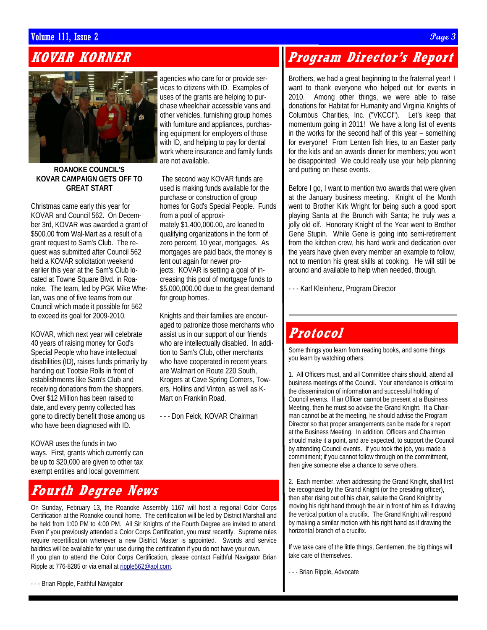### Volume 111, Issue 2  ${\cal P}age$  3  ${\cal P}age$

## **KOVAR KORNER**



#### **ROANOKE COUNCIL'S KOVAR CAMPAIGN GETS OFF TO GREAT START**

Christmas came early this year for KOVAR and Council 562. On December 3rd, KOVAR was awarded a grant of \$500.00 from Wal-Mart as a result of a grant request to Sam's Club. The request was submitted after Council 562 held a KOVAR solicitation weekend earlier this year at the Sam's Club located at Towne Square Blvd. in Roanoke. The team, led by PGK Mike Whelan, was one of five teams from our Council which made it possible for 562 to exceed its goal for 2009-2010.

KOVAR, which next year will celebrate 40 years of raising money for God's Special People who have intellectual disabilities (ID), raises funds primarily by handing out Tootsie Rolls in front of establishments like Sam's Club and receiving donations from the shoppers. Over \$12 Million has been raised to date, and every penny collected has gone to directly benefit those among us who have been diagnosed with ID.

KOVAR uses the funds in two ways. First, grants which currently can be up to \$20,000 are given to other tax exempt entities and local government

## **Fourth Degree News**

On Sunday, February 13, the Roanoke Assembly 1167 will host a regional Color Corps Certification at the Roanoke council home. The certification will be led by District Marshall and be held from 1:00 PM to 4:00 PM. All Sir Knights of the Fourth Degree are invited to attend. Even if you previously attended a Color Corps Certification, you must recertify. Supreme rules require recertification whenever a new District Master is appointed. Swords and service baldrics will be available for your use during the certification if you do not have your own. If you plan to attend the Color Corps Certification, please contact Faithful Navigator Brian Ripple at 776-8285 or via email at ripple562@aol.com.

- - - Brian Ripple, Faithful Navigator

agencies who care for or provide services to citizens with ID. Examples of uses of the grants are helping to purchase wheelchair accessible vans and other vehicles, furnishing group homes with furniture and appliances, purchasing equipment for employers of those with ID, and helping to pay for dental work where insurance and family funds are not available.

 The second way KOVAR funds are used is making funds available for the purchase or construction of group homes for God's Special People. Funds from a pool of approximately \$1,400,000.00, are loaned to qualifying organizations in the form of zero percent, 10 year, mortgages. As mortgages are paid back, the money is lent out again for newer projects. KOVAR is setting a goal of increasing this pool of mortgage funds to \$5,000,000.00 due to the great demand for group homes.

Knights and their families are encouraged to patronize those merchants who assist us in our support of our friends who are intellectually disabled. In addition to Sam's Club, other merchants who have cooperated in recent years are Walmart on Route 220 South, Krogers at Cave Spring Corners, Towers, Hollins and Vinton, as well as K-Mart on Franklin Road.

- - - Don Feick, KOVAR Chairman

## **Program Director's Report**

Brothers, we had a great beginning to the fraternal year! I want to thank everyone who helped out for events in 2010. Among other things, we were able to raise donations for Habitat for Humanity and Virginia Knights of Columbus Charities, Inc. ("VKCCI"). Let's keep that momentum going in 2011! We have a long list of events in the works for the second half of this year – something for everyone! From Lenten fish fries, to an Easter party for the kids and an awards dinner for members; you won't be disappointed! We could really use your help planning and putting on these events.

Before I go, I want to mention two awards that were given at the January business meeting. Knight of the Month went to Brother Kirk Wright for being such a good sport playing Santa at the Brunch with Santa; he truly was a jolly old elf. Honorary Knight of the Year went to Brother Gene Stupin. While Gene is going into semi-retirement from the kitchen crew, his hard work and dedication over the years have given every member an example to follow, not to mention his great skills at cooking. He will still be around and available to help when needed, though.

- - - Karl Kleinhenz, Program Director

## **Protocol**

Some things you learn from reading books, and some things you learn by watching others:

1. All Officers must, and all Committee chairs should, attend all business meetings of the Council. Your attendance is critical to the dissemination of information and successful holding of Council events. If an Officer cannot be present at a Business Meeting, then he must so advise the Grand Knight. If a Chairman cannot be at the meeting, he should advise the Program Director so that proper arrangements can be made for a report at the Business Meeting. In addition, Officers and Chairmen should make it a point, and are expected, to support the Council by attending Council events. If you took the job, you made a commitment; if you cannot follow through on the commitment, then give someone else a chance to serve others.

2. Each member, when addressing the Grand Knight, shall first be recognized by the Grand Knight (or the presiding officer), then after rising out of his chair, salute the Grand Knight by moving his right hand through the air in front of him as if drawing the vertical portion of a crucifix. The Grand Knight will respond by making a similar motion with his right hand as if drawing the horizontal branch of a crucifix.

If we take care of the little things, Gentlemen, the big things will take care of themselves.

- - - Brian Ripple, Advocate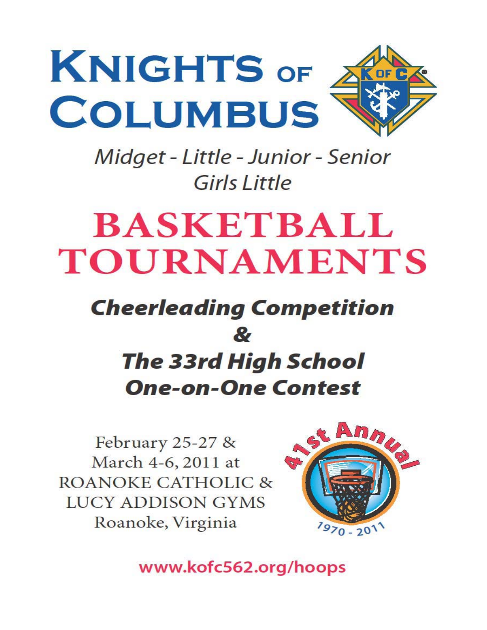

Midget - Little - Junior - Senior Girls Little

# **BASKETBALL TOURNAMENTS**

## **Cheerleading Competition**  $\mathbf{z}$ **The 33rd High School One-on-One Contest**

February 25-27 & March 4-6, 2011 at **ROANOKE CATHOLIC & LUCY ADDISON GYMS** Roanoke, Virginia



www.kofc562.org/hoops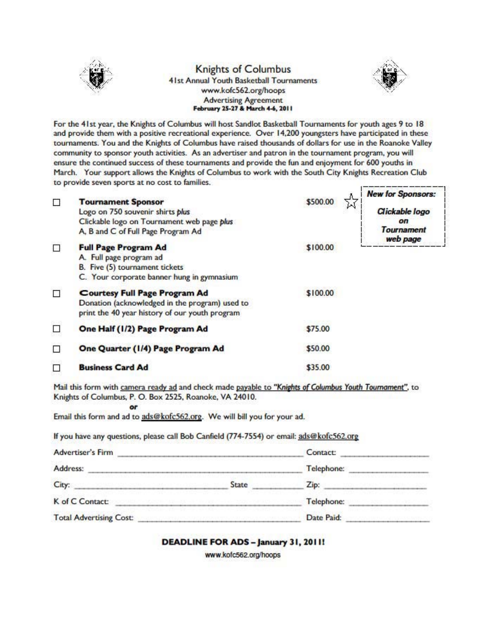

#### **Knights of Columbus** 41st Annual Youth Basketball Tournaments www.kofc562.org/hoops **Advertising Agreement** February 25-27 & March 4-6, 2011



For the 41st year, the Knights of Columbus will host Sandlot Basketball Tournaments for youth ages 9 to 18 and provide them with a positive recreational experience. Over 14,200 youngsters have participated in these tournaments. You and the Knights of Columbus have raised thousands of dollars for use in the Roanoke Valley community to sponsor youth activities. As an advertiser and patron in the tournament program, you will ensure the continued success of these tournaments and provide the fun and enjoyment for 600 youths in March. Your support allows the Knights of Columbus to work with the South City Knights Recreation Club to provide seven sports at no cost to families. <u> I program mandram manamman</u>g n

| □      | <b>Tournament Sponsor</b><br>Logo on 750 souvenir shirts plus<br>Clickable logo on Tournament web page plus<br>A, B and C of Full Page Program Ad | \$500.00 | <b>New for Sponsors:</b><br>Clickable logo<br>οn<br>Tournament<br>web page |
|--------|---------------------------------------------------------------------------------------------------------------------------------------------------|----------|----------------------------------------------------------------------------|
| □      | <b>Full Page Program Ad</b><br>A. Full page program ad<br>B. Five (5) tournament tickets<br>C. Your corporate banner hung in gymnasium            | \$100.00 |                                                                            |
| $\Box$ | <b>Courtesy Full Page Program Ad</b><br>Donation (acknowledged in the program) used to<br>print the 40 year history of our youth program          | \$100.00 |                                                                            |
| □      | One Half (1/2) Page Program Ad                                                                                                                    | \$75.00  |                                                                            |
| □      | One Quarter (1/4) Page Program Ad                                                                                                                 | \$50.00  |                                                                            |
| □      | <b>Business Card Ad</b>                                                                                                                           | \$35.00  |                                                                            |

Mail this form with camera ready ad and check made payable to "Knights of Columbus Youth Tournament", to Knights of Columbus, P. O. Box 2525, Roanoke, VA 24010.

Email this form and ad to ads@kofc562.org. We will bill you for your ad.

or

If you have any questions, please call Bob Canfield (774-7554) or email: ads@kofc562.org

| <b>Advertiser's Firm</b>       |       | Contact:   |  |
|--------------------------------|-------|------------|--|
| Address:                       |       | Telephone: |  |
| City:                          | State | Zip:       |  |
| K of C Contact:                |       | Telephone: |  |
| <b>Total Advertising Cost:</b> |       | Date Paid: |  |

DEADLINE FOR ADS - January 31, 2011!

www.kofc562.org/hoops